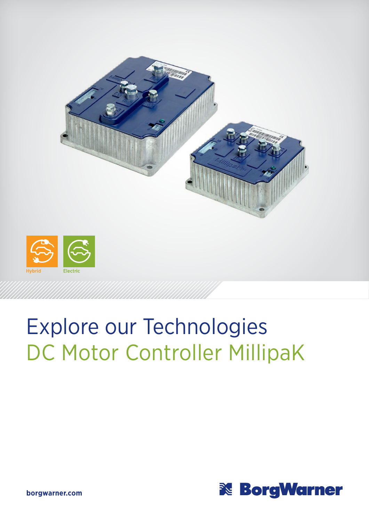

## Explore our Technologies DC Motor Controller MillipaK